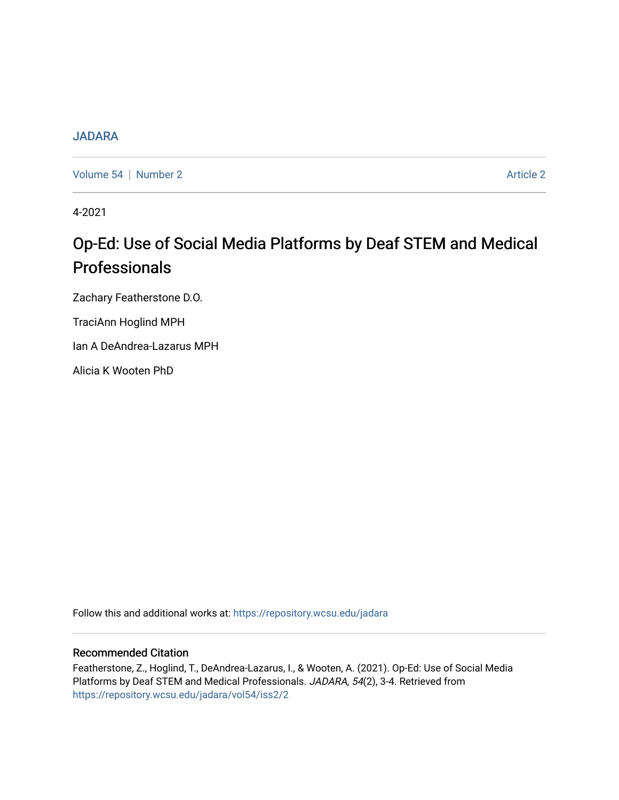## [JADARA](https://repository.wcsu.edu/jadara)

[Volume 54](https://repository.wcsu.edu/jadara/vol54) | [Number 2](https://repository.wcsu.edu/jadara/vol54/iss2) Article 2

4-2021

## Op-Ed: Use of Social Media Platforms by Deaf STEM and Medical Professionals

Zachary Featherstone D.O.

TraciAnn Hoglind MPH

Ian A DeAndrea-Lazarus MPH

Alicia K Wooten PhD

Follow this and additional works at: [https://repository.wcsu.edu/jadara](https://repository.wcsu.edu/jadara?utm_source=repository.wcsu.edu%2Fjadara%2Fvol54%2Fiss2%2F2&utm_medium=PDF&utm_campaign=PDFCoverPages)

## Recommended Citation

Featherstone, Z., Hoglind, T., DeAndrea-Lazarus, I., & Wooten, A. (2021). Op-Ed: Use of Social Media Platforms by Deaf STEM and Medical Professionals. JADARA, 54(2), 3-4. Retrieved from [https://repository.wcsu.edu/jadara/vol54/iss2/2](https://repository.wcsu.edu/jadara/vol54/iss2/2?utm_source=repository.wcsu.edu%2Fjadara%2Fvol54%2Fiss2%2F2&utm_medium=PDF&utm_campaign=PDFCoverPages)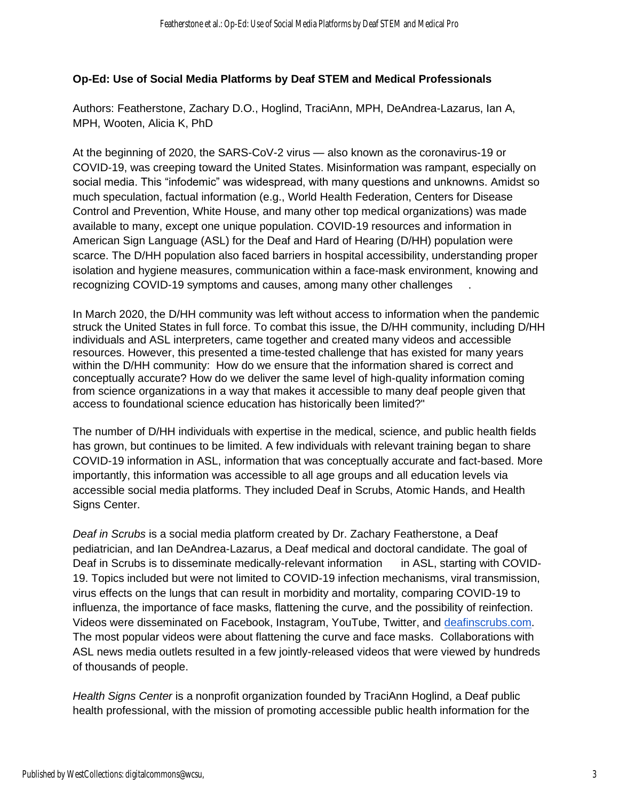## **Op-Ed: Use of Social Media Platforms by Deaf STEM and Medical Professionals**

Authors: Featherstone, Zachary D.O., Hoglind, TraciAnn, MPH, DeAndrea-Lazarus, Ian A, MPH, Wooten, Alicia K, PhD

At the beginning of 2020, the SARS-CoV-2 virus — also known as the coronavirus-19 or COVID-19, was creeping toward the United States. Misinformation was rampant, especially on social media. This "infodemic" was widespread, with many questions and unknowns. Amidst so much speculation, factual information (e.g., World Health Federation, Centers for Disease Control and Prevention, White House, and many other top medical organizations) was made available to many, except one unique population. COVID-19 resources and information in American Sign Language (ASL) for the Deaf and Hard of Hearing (D/HH) population were scarce. The D/HH population also faced barriers in hospital accessibility, understanding proper isolation and hygiene measures, communication within a face-mask environment, knowing and recognizing COVID-19 symptoms and causes, among many other challenges .

In March 2020, the D/HH community was left without access to information when the pandemic struck the United States in full force. To combat this issue, the D/HH community, including D/HH individuals and ASL interpreters, came together and created many videos and accessible resources. However, this presented a time-tested challenge that has existed for many years within the D/HH community: How do we ensure that the information shared is correct and conceptually accurate? How do we deliver the same level of high-quality information coming from science organizations in a way that makes it accessible to many deaf people given that access to foundational science education has historically been limited?"

The number of D/HH individuals with expertise in the medical, science, and public health fields has grown, but continues to be limited. A few individuals with relevant training began to share COVID-19 information in ASL, information that was conceptually accurate and fact-based. More importantly, this information was accessible to all age groups and all education levels via accessible social media platforms. They included Deaf in Scrubs, Atomic Hands, and Health Signs Center.

*Deaf in Scrubs* is a social media platform created by Dr. Zachary Featherstone, a Deaf pediatrician, and Ian DeAndrea-Lazarus, a Deaf medical and doctoral candidate. The goal of Deaf in Scrubs is to disseminate medically-relevant information in ASL, starting with COVID-19. Topics included but were not limited to COVID-19 infection mechanisms, viral transmission, virus effects on the lungs that can result in morbidity and mortality, comparing COVID-19 to influenza, the importance of face masks, flattening the curve, and the possibility of reinfection. Videos were disseminated on Facebook, Instagram, YouTube, Twitter, and [deafinscrubs.com.](http://deafinscrubs.com/) The most popular videos were about flattening the curve and face masks. Collaborations with ASL news media outlets resulted in a few jointly-released videos that were viewed by hundreds of thousands of people.

*Health Signs Center* is a nonprofit organization founded by TraciAnn Hoglind, a Deaf public health professional, with the mission of promoting accessible public health information for the